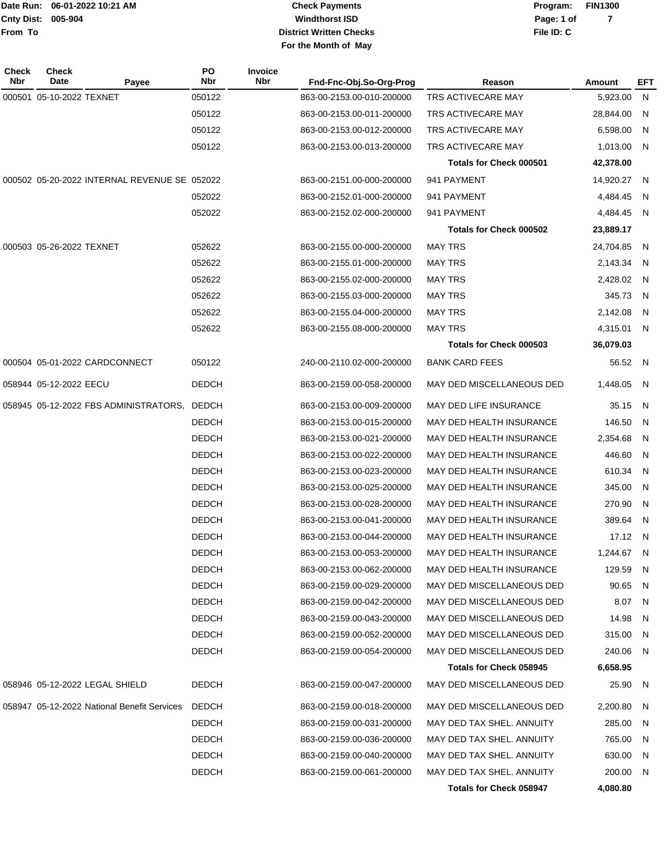**005-904 Cnty Dist: Date Run: From To**

# **Windthorst ISD Check Payments District Written Checks File ID: C For the Month of May**

**06-01-2022 10:21 AM Program: FIN1300 Page: 1 of 7**

| Check<br>Nbr | <b>Check</b><br>Date<br>Payee                | PO<br><b>Nbr</b> | <b>Invoice</b><br><b>Nbr</b> | Fnd-Fnc-Obj.So-Org-Prog   | Reason                          | <b>Amount</b> | <b>EFT</b> |
|--------------|----------------------------------------------|------------------|------------------------------|---------------------------|---------------------------------|---------------|------------|
|              | 000501 05-10-2022 TEXNET                     | 050122           |                              | 863-00-2153.00-010-200000 | TRS ACTIVECARE MAY              | 5,923.00      | N          |
|              |                                              | 050122           |                              | 863-00-2153.00-011-200000 | TRS ACTIVECARE MAY              | 28,844.00     | N          |
|              |                                              | 050122           |                              | 863-00-2153.00-012-200000 | TRS ACTIVECARE MAY              | 6,598.00      | N          |
|              |                                              | 050122           |                              | 863-00-2153.00-013-200000 | TRS ACTIVECARE MAY              | 1,013.00      | N          |
|              |                                              |                  |                              |                           | Totals for Check 000501         | 42,378.00     |            |
|              | 000502 05-20-2022 INTERNAL REVENUE SE 052022 |                  |                              | 863-00-2151.00-000-200000 | 941 PAYMENT                     | 14,920.27     | N          |
|              |                                              | 052022           |                              | 863-00-2152.01-000-200000 | 941 PAYMENT                     | 4,484.45      | N          |
|              |                                              | 052022           |                              | 863-00-2152.02-000-200000 | 941 PAYMENT                     | 4,484.45 N    |            |
|              |                                              |                  |                              |                           | Totals for Check 000502         | 23,889.17     |            |
|              | 000503 05-26-2022 TEXNET                     | 052622           |                              | 863-00-2155.00-000-200000 | <b>MAY TRS</b>                  | 24,704.85     | N          |
|              |                                              | 052622           |                              | 863-00-2155.01-000-200000 | <b>MAY TRS</b>                  | 2,143.34      | N          |
|              |                                              | 052622           |                              | 863-00-2155.02-000-200000 | <b>MAY TRS</b>                  | 2,428.02      | N          |
|              |                                              | 052622           |                              | 863-00-2155.03-000-200000 | <b>MAY TRS</b>                  | 345.73        | N          |
|              |                                              | 052622           |                              | 863-00-2155.04-000-200000 | <b>MAY TRS</b>                  | 2,142.08      | N          |
|              |                                              | 052622           |                              | 863-00-2155.08-000-200000 | <b>MAY TRS</b>                  | 4,315.01      | N          |
|              |                                              |                  |                              |                           | Totals for Check 000503         | 36,079.03     |            |
|              | 000504 05-01-2022 CARDCONNECT                | 050122           |                              | 240-00-2110.02-000-200000 | <b>BANK CARD FEES</b>           | 56.52 N       |            |
|              | 058944 05-12-2022 EECU                       | <b>DEDCH</b>     |                              | 863-00-2159.00-058-200000 | MAY DED MISCELLANEOUS DED       | 1,448.05      | N          |
|              | 058945 05-12-2022 FBS ADMINISTRATORS,        | <b>DEDCH</b>     |                              | 863-00-2153.00-009-200000 | MAY DED LIFE INSURANCE          | 35.15         | N          |
|              |                                              | <b>DEDCH</b>     |                              | 863-00-2153.00-015-200000 | MAY DED HEALTH INSURANCE        | 146.50        | N          |
|              |                                              | <b>DEDCH</b>     |                              | 863-00-2153.00-021-200000 | MAY DED HEALTH INSURANCE        | 2,354.68      | N          |
|              |                                              | <b>DEDCH</b>     |                              | 863-00-2153.00-022-200000 | MAY DED HEALTH INSURANCE        | 446.60        | N          |
|              |                                              | <b>DEDCH</b>     |                              | 863-00-2153.00-023-200000 | MAY DED HEALTH INSURANCE        | 610.34        | N          |
|              |                                              | <b>DEDCH</b>     |                              | 863-00-2153.00-025-200000 | MAY DED HEALTH INSURANCE        | 345.00        | N          |
|              |                                              | <b>DEDCH</b>     |                              | 863-00-2153.00-028-200000 | MAY DED HEALTH INSURANCE        | 270.90        | N          |
|              |                                              | <b>DEDCH</b>     |                              | 863-00-2153.00-041-200000 | MAY DED HEALTH INSURANCE        | 389.64        | N          |
|              |                                              | <b>DEDCH</b>     |                              | 863-00-2153.00-044-200000 | <b>MAY DED HEALTH INSURANCE</b> | 17.12 N       |            |
|              |                                              | DEDCH            |                              | 863-00-2153.00-053-200000 | MAY DED HEALTH INSURANCE        | 1,244.67 N    |            |
|              |                                              | <b>DEDCH</b>     |                              | 863-00-2153.00-062-200000 | MAY DED HEALTH INSURANCE        | 129.59 N      |            |
|              |                                              | <b>DEDCH</b>     |                              | 863-00-2159.00-029-200000 | MAY DED MISCELLANEOUS DED       | 90.65         | N,         |
|              |                                              | <b>DEDCH</b>     |                              | 863-00-2159.00-042-200000 | MAY DED MISCELLANEOUS DED       | 8.07          | - N        |
|              |                                              | <b>DEDCH</b>     |                              | 863-00-2159.00-043-200000 | MAY DED MISCELLANEOUS DED       | 14.98         | N,         |
|              |                                              | <b>DEDCH</b>     |                              | 863-00-2159.00-052-200000 | MAY DED MISCELLANEOUS DED       | 315.00 N      |            |
|              |                                              | <b>DEDCH</b>     |                              | 863-00-2159.00-054-200000 | MAY DED MISCELLANEOUS DED       | 240.06 N      |            |
|              |                                              |                  |                              |                           | Totals for Check 058945         | 6,658.95      |            |
|              | 058946 05-12-2022 LEGAL SHIELD               | <b>DEDCH</b>     |                              | 863-00-2159.00-047-200000 | MAY DED MISCELLANEOUS DED       | 25.90 N       |            |
|              | 058947 05-12-2022 National Benefit Services  | <b>DEDCH</b>     |                              | 863-00-2159.00-018-200000 | MAY DED MISCELLANEOUS DED       | 2,200.80      | N,         |
|              |                                              | <b>DEDCH</b>     |                              | 863-00-2159.00-031-200000 | MAY DED TAX SHEL. ANNUITY       | 285.00        | N,         |
|              |                                              | <b>DEDCH</b>     |                              | 863-00-2159.00-036-200000 | MAY DED TAX SHEL. ANNUITY       | 765.00        | N,         |
|              |                                              | <b>DEDCH</b>     |                              | 863-00-2159.00-040-200000 | MAY DED TAX SHEL. ANNUITY       | 630.00 N      |            |
|              |                                              | <b>DEDCH</b>     |                              | 863-00-2159.00-061-200000 | MAY DED TAX SHEL. ANNUITY       | 200.00 N      |            |
|              |                                              |                  |                              |                           | <b>Totals for Check 058947</b>  | 4,080.80      |            |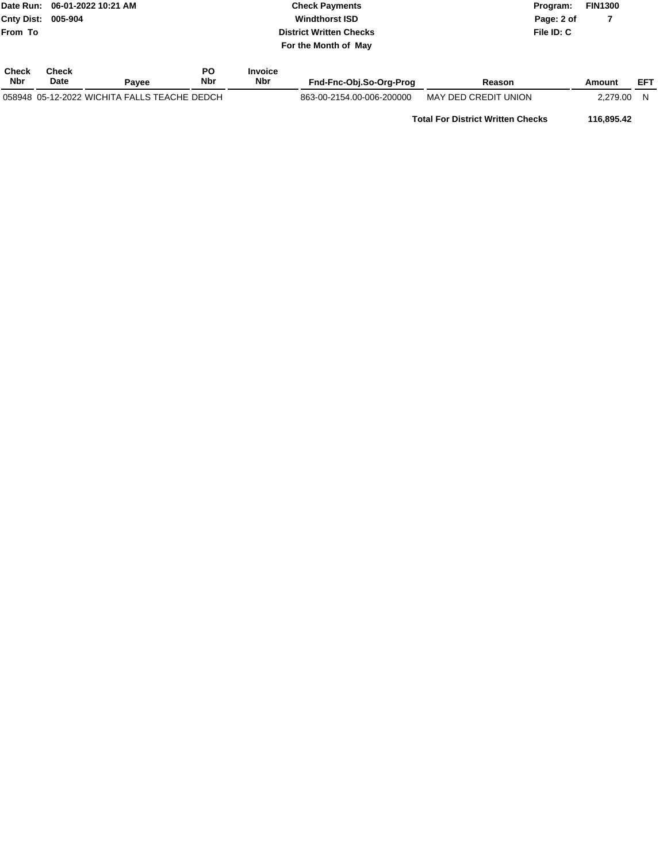|                            |                      | Date Run: 06-01-2022 10:21 AM                | <b>Check Payments</b>   |                              |                                | Program:             |            | <b>FIN1300</b> |            |
|----------------------------|----------------------|----------------------------------------------|-------------------------|------------------------------|--------------------------------|----------------------|------------|----------------|------------|
| <b>Cnty Dist:</b>          | 005-904              |                                              |                         |                              | <b>Windthorst ISD</b>          | Page: 2 of           |            |                |            |
| From To                    |                      |                                              |                         |                              | <b>District Written Checks</b> |                      | File ID: C |                |            |
|                            |                      |                                              |                         |                              | For the Month of May           |                      |            |                |            |
| <b>Check</b><br><b>Nbr</b> | Check<br><b>Date</b> | Pavee                                        | <b>PO</b><br><b>Nbr</b> | <b>Invoice</b><br><b>Nbr</b> | Fnd-Fnc-Obi.So-Ora-Proa        | Reason               |            | Amount         | <b>EFT</b> |
|                            |                      | 058948 05-12-2022 WICHITA FALLS TEACHE DEDCH |                         |                              | 863-00-2154.00-006-200000      | MAY DED CREDIT UNION |            | 2.279.00       | N          |

**Total For District Written Checks 116,895.42**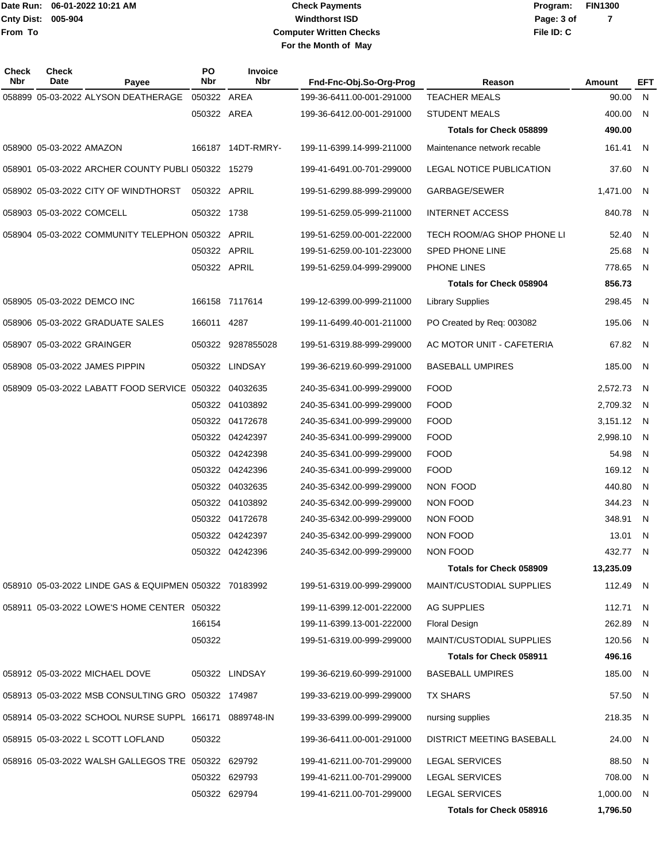# **Windthorst ISD Check Payments Computer Written Checks File ID: C For the Month of May**

| Check<br>Nbr | <b>Check</b><br>Date                 | Payee                                                  | PO<br>Nbr     | Invoice<br><b>Nbr</b> | Fnd-Fnc-Obj.So-Org-Prog   | Reason                          | <b>Amount</b> | EFT          |
|--------------|--------------------------------------|--------------------------------------------------------|---------------|-----------------------|---------------------------|---------------------------------|---------------|--------------|
|              |                                      | 058899 05-03-2022 ALYSON DEATHERAGE 050322 AREA        |               |                       | 199-36-6411.00-001-291000 | <b>TEACHER MEALS</b>            | 90.00         | $\mathsf{N}$ |
|              |                                      |                                                        | 050322 AREA   |                       | 199-36-6412.00-001-291000 | <b>STUDENT MEALS</b>            | 400.00        | N            |
|              |                                      |                                                        |               |                       |                           | <b>Totals for Check 058899</b>  | 490.00        |              |
|              | 058900 05-03-2022 AMAZON             |                                                        |               | 166187 14DT-RMRY-     | 199-11-6399.14-999-211000 | Maintenance network recable     | 161.41        | - N          |
|              |                                      | 058901 05-03-2022 ARCHER COUNTY PUBLI 050322 15279     |               |                       | 199-41-6491.00-701-299000 | LEGAL NOTICE PUBLICATION        | 37.60         | - N          |
|              | 058902 05-03-2022 CITY OF WINDTHORST |                                                        | 050322 APRIL  |                       | 199-51-6299.88-999-299000 | GARBAGE/SEWER                   | 1,471.00      | - N          |
|              | 058903 05-03-2022 COMCELL            |                                                        | 050322 1738   |                       | 199-51-6259.05-999-211000 | <b>INTERNET ACCESS</b>          | 840.78        | - N          |
|              |                                      | 058904 05-03-2022 COMMUNITY TELEPHON 050322 APRIL      |               |                       | 199-51-6259.00-001-222000 | TECH ROOM/AG SHOP PHONE LI      | 52.40         | - N          |
|              |                                      |                                                        | 050322 APRIL  |                       | 199-51-6259.00-101-223000 | <b>SPED PHONE LINE</b>          | 25.68         | N            |
|              |                                      |                                                        | 050322 APRIL  |                       | 199-51-6259.04-999-299000 | PHONE LINES                     | 778.65        | - N          |
|              |                                      |                                                        |               |                       |                           | <b>Totals for Check 058904</b>  | 856.73        |              |
|              | 058905 05-03-2022 DEMCO INC          |                                                        |               | 166158 7117614        | 199-12-6399.00-999-211000 | <b>Library Supplies</b>         | 298.45        | - N          |
|              | 058906 05-03-2022 GRADUATE SALES     |                                                        | 166011 4287   |                       | 199-11-6499.40-001-211000 | PO Created by Req: 003082       | 195.06        | - N          |
|              | 058907 05-03-2022 GRAINGER           |                                                        |               | 050322 9287855028     | 199-51-6319.88-999-299000 | AC MOTOR UNIT - CAFETERIA       | 67.82 N       |              |
|              | 058908 05-03-2022 JAMES PIPPIN       |                                                        |               | 050322 LINDSAY        | 199-36-6219.60-999-291000 | <b>BASEBALL UMPIRES</b>         | 185.00        | N            |
|              |                                      | 058909 05-03-2022 LABATT FOOD SERVICE 050322 04032635  |               |                       | 240-35-6341.00-999-299000 | <b>FOOD</b>                     | 2,572.73      | - N          |
|              |                                      |                                                        |               | 050322 04103892       | 240-35-6341.00-999-299000 | <b>FOOD</b>                     | 2,709.32      | - N          |
|              |                                      |                                                        |               | 050322 04172678       | 240-35-6341.00-999-299000 | <b>FOOD</b>                     | 3,151.12 N    |              |
|              |                                      |                                                        |               | 050322 04242397       | 240-35-6341.00-999-299000 | <b>FOOD</b>                     | 2,998.10      | - N          |
|              |                                      |                                                        |               | 050322 04242398       | 240-35-6341.00-999-299000 | <b>FOOD</b>                     | 54.98         | N            |
|              |                                      |                                                        |               | 050322 04242396       | 240-35-6341.00-999-299000 | <b>FOOD</b>                     | 169.12        | - N          |
|              |                                      |                                                        |               | 050322 04032635       | 240-35-6342.00-999-299000 | NON FOOD                        | 440.80        | N            |
|              |                                      |                                                        |               | 050322 04103892       | 240-35-6342.00-999-299000 | <b>NON FOOD</b>                 | 344.23        | - N          |
|              |                                      |                                                        |               | 050322 04172678       | 240-35-6342.00-999-299000 | <b>NON FOOD</b>                 | 348.91        | - N          |
|              |                                      |                                                        |               | 050322 04242397       | 240-35-6342.00-999-299000 | <b>NON FOOD</b>                 | 13.01         | - N          |
|              |                                      |                                                        |               | 050322 04242396       | 240-35-6342.00-999-299000 | NON FOOD                        | 432.77        | N,           |
|              |                                      |                                                        |               |                       |                           | Totals for Check 058909         | 13,235.09     |              |
|              |                                      | 058910 05-03-2022 LINDE GAS & EQUIPMEN 050322 70183992 |               |                       | 199-51-6319.00-999-299000 | <b>MAINT/CUSTODIAL SUPPLIES</b> | 112.49 N      |              |
|              |                                      | 058911 05-03-2022 LOWE'S HOME CENTER 050322            |               |                       | 199-11-6399.12-001-222000 | AG SUPPLIES                     | 112.71        | - N          |
|              |                                      |                                                        | 166154        |                       | 199-11-6399.13-001-222000 | <b>Floral Design</b>            | 262.89        | - N          |
|              |                                      |                                                        | 050322        |                       | 199-51-6319.00-999-299000 | <b>MAINT/CUSTODIAL SUPPLIES</b> | 120.56        | - N          |
|              |                                      |                                                        |               |                       |                           | Totals for Check 058911         | 496.16        |              |
|              | 058912 05-03-2022 MICHAEL DOVE       |                                                        |               | 050322 LINDSAY        | 199-36-6219.60-999-291000 | <b>BASEBALL UMPIRES</b>         | 185.00        | - N          |
|              |                                      | 058913 05-03-2022 MSB CONSULTING GRO 050322 174987     |               |                       | 199-33-6219.00-999-299000 | <b>TX SHARS</b>                 | 57.50 N       |              |
|              |                                      | 058914 05-03-2022 SCHOOL NURSE SUPPL 166171 0889748-IN |               |                       | 199-33-6399.00-999-299000 | nursing supplies                | 218.35        | - N          |
|              | 058915 05-03-2022 L SCOTT LOFLAND    |                                                        | 050322        |                       | 199-36-6411.00-001-291000 | DISTRICT MEETING BASEBALL       | 24.00         | - N          |
|              |                                      | 058916  05-03-2022  WALSH GALLEGOS TRE  050322  629792 |               |                       | 199-41-6211.00-701-299000 | <b>LEGAL SERVICES</b>           | 88.50 N       |              |
|              |                                      |                                                        |               | 050322 629793         | 199-41-6211.00-701-299000 | <b>LEGAL SERVICES</b>           | 708.00        | - N          |
|              |                                      |                                                        | 050322 629794 |                       | 199-41-6211.00-701-299000 | <b>LEGAL SERVICES</b>           | 1,000.00 N    |              |
|              |                                      |                                                        |               |                       |                           | Totals for Check 058916         | 1,796.50      |              |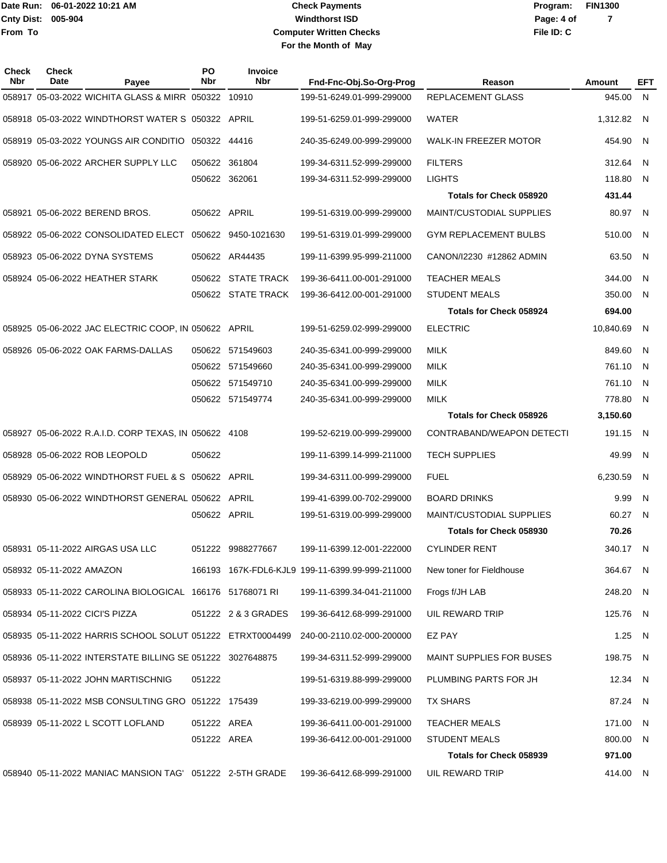# **Windthorst ISD Check Payments Computer Written Checks File ID: C For the Month of May**

**Page: 4 of 7**

| Check<br>Nbr | <b>Check</b><br>Date | Payee                                                         | PO<br><b>Nbr</b> | <b>Invoice</b><br><b>Nbr</b> | Fnd-Fnc-Obj.So-Org-Prog                         | Reason                          | Amount    | EFT |
|--------------|----------------------|---------------------------------------------------------------|------------------|------------------------------|-------------------------------------------------|---------------------------------|-----------|-----|
|              |                      | 058917 05-03-2022 WICHITA GLASS & MIRR 050322                 |                  | 10910                        | 199-51-6249.01-999-299000                       | <b>REPLACEMENT GLASS</b>        | 945.00    | N.  |
|              |                      |                                                               |                  |                              | 199-51-6259.01-999-299000                       | WATER                           | 1,312.82  | - N |
|              |                      |                                                               |                  |                              | 240-35-6249.00-999-299000                       | WALK-IN FREEZER MOTOR           | 454.90    | - N |
|              |                      | 058920 05-06-2022 ARCHER SUPPLY LLC                           | 050622           | 361804                       | 199-34-6311.52-999-299000                       | <b>FILTERS</b>                  | 312.64    | N.  |
|              |                      |                                                               | 050622 362061    |                              | 199-34-6311.52-999-299000                       | <b>LIGHTS</b>                   | 118.80    | N.  |
|              |                      |                                                               |                  |                              |                                                 | <b>Totals for Check 058920</b>  | 431.44    |     |
|              |                      | 058921 05-06-2022 BEREND BROS.                                | 050622 APRIL     |                              | 199-51-6319.00-999-299000                       | <b>MAINT/CUSTODIAL SUPPLIES</b> | 80.97     | - N |
|              |                      |                                                               |                  |                              | 199-51-6319.01-999-299000                       | GYM REPLACEMENT BULBS           | 510.00    | -N  |
|              |                      | 058923 05-06-2022 DYNA SYSTEMS                                |                  | 050622 AR44435               | 199-11-6399.95-999-211000                       | CANON/12230 #12862 ADMIN        | 63.50     | N   |
|              |                      | 058924 05-06-2022 HEATHER STARK                               | 050622           | <b>STATE TRACK</b>           | 199-36-6411.00-001-291000                       | <b>TEACHER MEALS</b>            | 344.00    | -N  |
|              |                      |                                                               |                  | 050622 STATE TRACK           | 199-36-6412.00-001-291000                       | <b>STUDENT MEALS</b>            | 350.00    | N.  |
|              |                      |                                                               |                  |                              |                                                 | <b>Totals for Check 058924</b>  | 694.00    |     |
|              |                      | 058925 05-06-2022 JAC ELECTRIC COOP, IN 050622 APRIL          |                  |                              | 199-51-6259.02-999-299000                       | <b>ELECTRIC</b>                 | 10,840.69 | N   |
|              |                      | 058926 05-06-2022 OAK FARMS-DALLAS                            | 050622           | 571549603                    | 240-35-6341.00-999-299000                       | <b>MILK</b>                     | 849.60    | -N  |
|              |                      |                                                               | 050622           | 571549660                    | 240-35-6341.00-999-299000                       | MILK                            | 761.10    | -N  |
|              |                      |                                                               | 050622           | 571549710                    | 240-35-6341.00-999-299000                       | <b>MILK</b>                     | 761.10    | -N  |
|              |                      |                                                               |                  | 050622 571549774             | 240-35-6341.00-999-299000                       | MILK                            | 778.80    | -N  |
|              |                      |                                                               |                  |                              |                                                 | Totals for Check 058926         | 3,150.60  |     |
|              |                      |                                                               |                  |                              | 199-52-6219.00-999-299000                       | CONTRABAND/WEAPON DETECTI       | 191.15    | N   |
|              |                      | 058928 05-06-2022 ROB LEOPOLD                                 | 050622           |                              | 199-11-6399.14-999-211000                       | <b>TECH SUPPLIES</b>            | 49.99     | N.  |
|              |                      |                                                               |                  |                              | 199-34-6311.00-999-299000                       | <b>FUEL</b>                     | 6,230.59  | N   |
|              |                      |                                                               |                  | APRIL                        | 199-41-6399.00-702-299000                       | <b>BOARD DRINKS</b>             | 9.99      | N   |
|              |                      |                                                               | 050622 APRIL     |                              | 199-51-6319.00-999-299000                       | <b>MAINT/CUSTODIAL SUPPLIES</b> | 60.27     | -N  |
|              |                      |                                                               |                  |                              |                                                 | Totals for Check 058930         | 70.26     |     |
|              |                      | 058931 05-11-2022 AIRGAS USA LLC                              |                  | 051222 9988277667            | 199-11-6399.12-001-222000                       | <b>CYLINDER RENT</b>            | 340.17    | -N  |
|              |                      |                                                               |                  |                              | 166193 167K-FDL6-KJL9 199-11-6399.99-999-211000 | New toner for Fieldhouse        | 364.67 N  |     |
|              |                      | 058933  05-11-2022  CAROLINA BIOLOGICAL  166176  51768071  RI |                  |                              | 199-11-6399.34-041-211000                       | Frogs f/JH LAB                  | 248.20 N  |     |
|              |                      | 058934 05-11-2022 CICI'S PIZZA                                |                  | 051222 2 & 3 GRADES          | 199-36-6412.68-999-291000                       | UIL REWARD TRIP                 | 125.76 N  |     |
|              |                      | 058935  05-11-2022  HARRIS SCHOOL SOLUT  051222  ETRXT0004499 |                  |                              | 240-00-2110.02-000-200000                       | EZ PAY                          | 1.25 $N$  |     |
|              |                      |                                                               |                  |                              | 199-34-6311.52-999-299000                       | MAINT SUPPLIES FOR BUSES        | 198.75 N  |     |
|              |                      | 058937  05-11-2022  JOHN MARTISCHNIG                          | 051222           |                              | 199-51-6319.88-999-299000                       | PLUMBING PARTS FOR JH           | 12.34 N   |     |
|              |                      | 058938  05-11-2022  MSB CONSULTING GRO  051222  175439        |                  |                              | 199-33-6219.00-999-299000                       | TX SHARS                        | 87.24 N   |     |
|              |                      |                                                               | 051222 AREA      |                              | 199-36-6411.00-001-291000                       | <b>TEACHER MEALS</b>            | 171.00 N  |     |
|              |                      |                                                               | 051222 AREA      |                              | 199-36-6412.00-001-291000                       | <b>STUDENT MEALS</b>            | 800.00 N  |     |
|              |                      |                                                               |                  |                              |                                                 | Totals for Check 058939         | 971.00    |     |
|              |                      | 058940 05-11-2022 MANIAC MANSION TAG' 051222 2-5TH GRADE      |                  |                              | 199-36-6412.68-999-291000                       | UIL REWARD TRIP                 | 414.00 N  |     |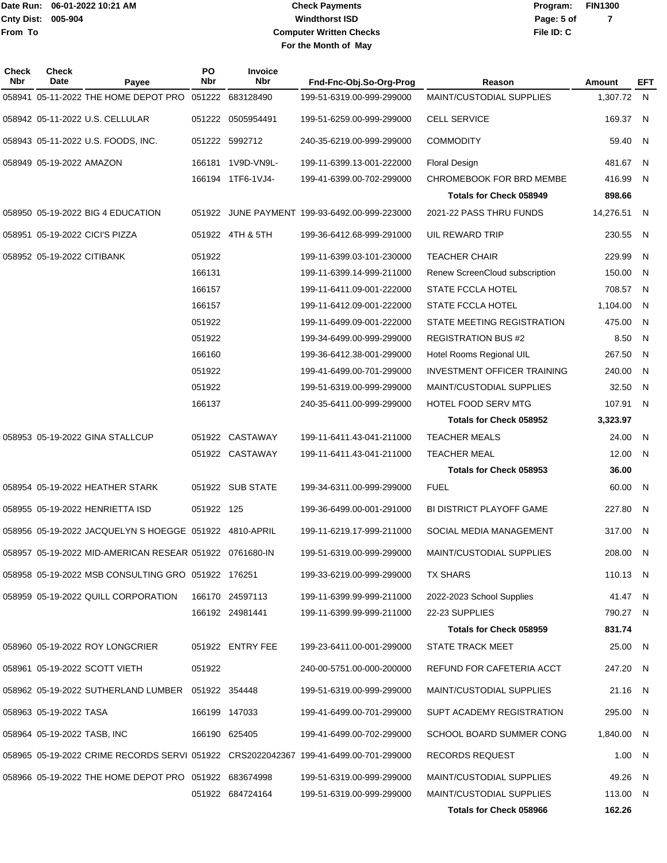# **Windthorst ISD Check Payments Computer Written Checks File ID: C For the Month of May**

**Page: 5 of 7**

| Check<br>Nbr | <b>Check</b><br><b>Date</b> | Payee                                                   | PO<br>Nbr  | <b>Invoice</b><br>Nbr | Fnd-Fnc-Obj.So-Org-Prog                                                              | Reason                             | Amount     | EFT |
|--------------|-----------------------------|---------------------------------------------------------|------------|-----------------------|--------------------------------------------------------------------------------------|------------------------------------|------------|-----|
|              |                             | 058941 05-11-2022 THE HOME DEPOT PRO 051222 683128490   |            |                       | 199-51-6319.00-999-299000                                                            | MAINT/CUSTODIAL SUPPLIES           | 1,307.72   | N,  |
|              |                             | 058942 05-11-2022 U.S. CELLULAR                         |            | 051222 0505954491     | 199-51-6259.00-999-299000                                                            | <b>CELL SERVICE</b>                | 169.37     | N   |
|              |                             | 058943 05-11-2022 U.S. FOODS, INC.                      |            | 051222 5992712        | 240-35-6219.00-999-299000                                                            | <b>COMMODITY</b>                   | 59.40      | - N |
|              | 058949 05-19-2022 AMAZON    |                                                         |            | 166181 1V9D-VN9L-     | 199-11-6399.13-001-222000                                                            | <b>Floral Design</b>               | 481.67     | N   |
|              |                             |                                                         |            | 166194 1TF6-1VJ4-     | 199-41-6399.00-702-299000                                                            | CHROMEBOOK FOR BRD MEMBE           | 416.99     | N   |
|              |                             |                                                         |            |                       |                                                                                      | <b>Totals for Check 058949</b>     | 898.66     |     |
|              |                             | 058950 05-19-2022 BIG 4 EDUCATION                       |            |                       | 051922 JUNE PAYMENT 199-93-6492.00-999-223000                                        | 2021-22 PASS THRU FUNDS            | 14,276.51  | N   |
|              |                             | 058951 05-19-2022 CICI'S PIZZA                          |            | 051922 4TH & 5TH      | 199-36-6412.68-999-291000                                                            | UIL REWARD TRIP                    | 230.55     | N   |
|              | 058952 05-19-2022 CITIBANK  |                                                         | 051922     |                       | 199-11-6399.03-101-230000                                                            | <b>TEACHER CHAIR</b>               | 229.99     | N   |
|              |                             |                                                         | 166131     |                       | 199-11-6399.14-999-211000                                                            | Renew ScreenCloud subscription     | 150.00     | N   |
|              |                             |                                                         | 166157     |                       | 199-11-6411.09-001-222000                                                            | <b>STATE FCCLA HOTEL</b>           | 708.57     | N   |
|              |                             |                                                         | 166157     |                       | 199-11-6412.09-001-222000                                                            | <b>STATE FCCLA HOTEL</b>           | 1,104.00   | N   |
|              |                             |                                                         | 051922     |                       | 199-11-6499.09-001-222000                                                            | STATE MEETING REGISTRATION         | 475.00     | N   |
|              |                             |                                                         | 051922     |                       | 199-34-6499.00-999-299000                                                            | <b>REGISTRATION BUS #2</b>         | 8.50       | N   |
|              |                             |                                                         | 166160     |                       | 199-36-6412.38-001-299000                                                            | Hotel Rooms Regional UIL           | 267.50     | N   |
|              |                             |                                                         | 051922     |                       | 199-41-6499.00-701-299000                                                            | <b>INVESTMENT OFFICER TRAINING</b> | 240.00     | N   |
|              |                             |                                                         | 051922     |                       | 199-51-6319.00-999-299000                                                            | <b>MAINT/CUSTODIAL SUPPLIES</b>    | 32.50      | N   |
|              |                             |                                                         | 166137     |                       | 240-35-6411.00-999-299000                                                            | <b>HOTEL FOOD SERV MTG</b>         | 107.91     | N   |
|              |                             |                                                         |            |                       |                                                                                      | Totals for Check 058952            | 3,323.97   |     |
|              |                             | 058953 05-19-2022 GINA STALLCUP                         |            | 051922 CASTAWAY       | 199-11-6411.43-041-211000                                                            | <b>TEACHER MEALS</b>               | 24.00      | N   |
|              |                             |                                                         |            | 051922 CASTAWAY       | 199-11-6411.43-041-211000                                                            | <b>TEACHER MEAL</b>                | 12.00      | N   |
|              |                             |                                                         |            |                       |                                                                                      | Totals for Check 058953            | 36.00      |     |
|              |                             | 058954 05-19-2022 HEATHER STARK                         |            | 051922 SUB STATE      | 199-34-6311.00-999-299000                                                            | <b>FUEL</b>                        | 60.00      | N   |
|              |                             | 058955 05-19-2022 HENRIETTA ISD                         | 051922 125 |                       | 199-36-6499.00-001-291000                                                            | BI DISTRICT PLAYOFF GAME           | 227.80     | N   |
|              |                             | 058956 05-19-2022 JACQUELYN S HOEGGE 051922 4810-APRIL  |            |                       | 199-11-6219.17-999-211000                                                            | SOCIAL MEDIA MANAGEMENT            | 317.00     | N   |
|              |                             | 058957 05-19-2022 MID-AMERICAN RESEAR 051922 0761680-IN |            |                       | 199-51-6319.00-999-299000                                                            | MAINT/CUSTODIAL SUPPLIES           | 208.00     | N   |
|              |                             | 058958 05-19-2022 MSB CONSULTING GRO 051922 176251      |            |                       | 199-33-6219.00-999-299000                                                            | TX SHARS                           | 110.13 N   |     |
|              |                             | 058959 05-19-2022 QUILL CORPORATION                     |            | 166170 24597113       | 199-11-6399.99-999-211000                                                            | 2022-2023 School Supplies          | 41.47 N    |     |
|              |                             |                                                         |            | 166192 24981441       | 199-11-6399.99-999-211000                                                            | 22-23 SUPPLIES                     | 790.27 N   |     |
|              |                             |                                                         |            |                       |                                                                                      | Totals for Check 058959            | 831.74     |     |
|              |                             | 058960 05-19-2022 ROY LONGCRIER                         |            | 051922 ENTRY FEE      | 199-23-6411.00-001-299000                                                            | <b>STATE TRACK MEET</b>            | 25.00 N    |     |
|              |                             | 058961 05-19-2022 SCOTT VIETH                           | 051922     |                       | 240-00-5751.00-000-200000                                                            | REFUND FOR CAFETERIA ACCT          | 247.20 N   |     |
|              |                             | 058962 05-19-2022 SUTHERLAND LUMBER 051922 354448       |            |                       | 199-51-6319.00-999-299000                                                            | MAINT/CUSTODIAL SUPPLIES           | 21.16 N    |     |
|              | 058963 05-19-2022 TASA      |                                                         |            | 166199 147033         | 199-41-6499.00-701-299000                                                            | SUPT ACADEMY REGISTRATION          | 295.00 N   |     |
|              | 058964 05-19-2022 TASB, INC |                                                         |            | 166190 625405         | 199-41-6499.00-702-299000                                                            | SCHOOL BOARD SUMMER CONG           | 1,840.00 N |     |
|              |                             |                                                         |            |                       | 058965 05-19-2022 CRIME RECORDS SERVI 051922 CRS2022042367 199-41-6499.00-701-299000 | RECORDS REQUEST                    | 1.00 N     |     |
|              |                             | 058966 05-19-2022 THE HOME DEPOT PRO 051922 683674998   |            |                       | 199-51-6319.00-999-299000                                                            | <b>MAINT/CUSTODIAL SUPPLIES</b>    | 49.26      | N   |
|              |                             |                                                         |            | 051922 684724164      | 199-51-6319.00-999-299000                                                            | <b>MAINT/CUSTODIAL SUPPLIES</b>    | 113.00 N   |     |
|              |                             |                                                         |            |                       |                                                                                      | Totals for Check 058966            | 162.26     |     |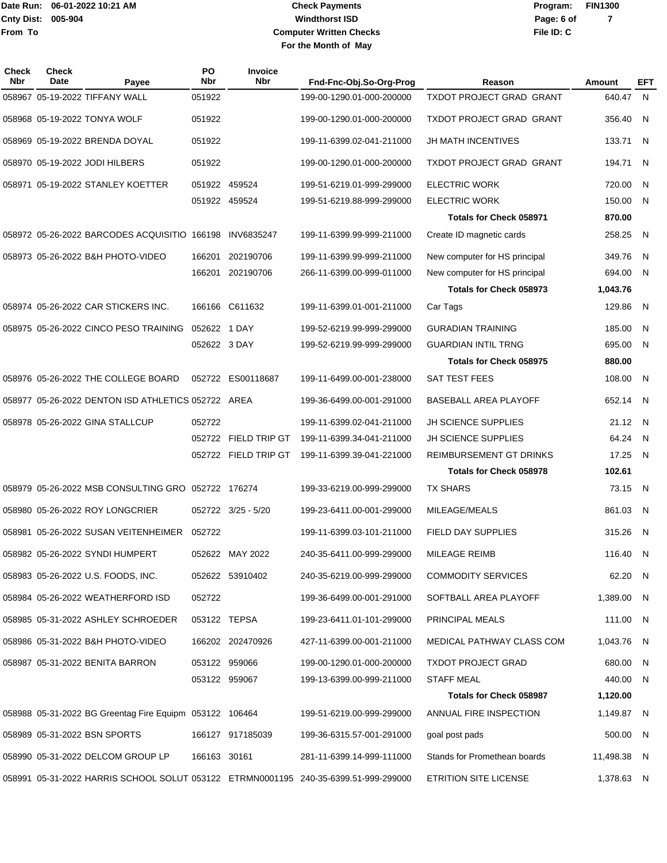# **Windthorst ISD Check Payments Computer Written Checks File ID: C For the Month of May**

**Page: 6 of 7**

| Check<br>Nbr | Check<br>Date | Payee                                                   | PO<br>Nbr    | Invoice<br><b>Nbr</b> | Fnd-Fnc-Obj.So-Org-Prog                                                             | Reason                         | Amount      | EFT |
|--------------|---------------|---------------------------------------------------------|--------------|-----------------------|-------------------------------------------------------------------------------------|--------------------------------|-------------|-----|
|              |               | 058967 05-19-2022 TIFFANY WALL                          | 051922       |                       | 199-00-1290.01-000-200000                                                           | TXDOT PROJECT GRAD GRANT       | 640.47 N    |     |
|              |               | 058968 05-19-2022 TONYA WOLF                            | 051922       |                       | 199-00-1290.01-000-200000                                                           | TXDOT PROJECT GRAD GRANT       | 356.40      | - N |
|              |               | 058969 05-19-2022 BRENDA DOYAL                          | 051922       |                       | 199-11-6399.02-041-211000                                                           | JH MATH INCENTIVES             | 133.71      | - N |
|              |               | 058970 05-19-2022 JODI HILBERS                          | 051922       |                       | 199-00-1290.01-000-200000                                                           | TXDOT PROJECT GRAD GRANT       | 194.71      | N   |
|              |               | 058971 05-19-2022 STANLEY KOETTER                       |              | 051922 459524         | 199-51-6219.01-999-299000                                                           | <b>ELECTRIC WORK</b>           | 720.00      | N.  |
|              |               |                                                         |              | 051922 459524         | 199-51-6219.88-999-299000                                                           | <b>ELECTRIC WORK</b>           | 150.00      | - N |
|              |               |                                                         |              |                       |                                                                                     | <b>Totals for Check 058971</b> | 870.00      |     |
|              |               | 058972 05-26-2022 BARCODES ACQUISITIO 166198 INV6835247 |              |                       | 199-11-6399.99-999-211000                                                           | Create ID magnetic cards       | 258.25      | - N |
|              |               | 058973 05-26-2022 B&H PHOTO-VIDEO                       | 166201       | 202190706             | 199-11-6399.99-999-211000                                                           | New computer for HS principal  | 349.76      | -N  |
|              |               |                                                         |              | 166201 202190706      | 266-11-6399.00-999-011000                                                           | New computer for HS principal  | 694.00      | - N |
|              |               |                                                         |              |                       |                                                                                     | Totals for Check 058973        | 1,043.76    |     |
|              |               | 058974 05-26-2022 CAR STICKERS INC.                     |              | 166166 C611632        | 199-11-6399.01-001-211000                                                           | Car Tags                       | 129.86      | N   |
|              |               | 058975 05-26-2022 CINCO PESO TRAINING                   | 052622 1 DAY |                       | 199-52-6219.99-999-299000                                                           | <b>GURADIAN TRAINING</b>       | 185.00      | -N  |
|              |               |                                                         | 052622 3 DAY |                       | 199-52-6219.99-999-299000                                                           | <b>GUARDIAN INTIL TRNG</b>     | 695.00      | N   |
|              |               |                                                         |              |                       |                                                                                     | <b>Totals for Check 058975</b> | 880.00      |     |
|              |               | 058976 05-26-2022 THE COLLEGE BOARD                     |              | 052722 ES00118687     | 199-11-6499.00-001-238000                                                           | SAT TEST FEES                  | 108.00      | N   |
|              |               | 058977 05-26-2022 DENTON ISD ATHLETICS 052722 AREA      |              |                       | 199-36-6499.00-001-291000                                                           | BASEBALL AREA PLAYOFF          | 652.14      | - N |
|              |               | 058978 05-26-2022 GINA STALLCUP                         | 052722       |                       | 199-11-6399.02-041-211000                                                           | JH SCIENCE SUPPLIES            | 21.12       | - N |
|              |               |                                                         | 052722       | FIELD TRIP GT         | 199-11-6399.34-041-211000                                                           | <b>JH SCIENCE SUPPLIES</b>     | 64.24       | N   |
|              |               |                                                         |              | 052722 FIELD TRIP GT  | 199-11-6399.39-041-221000                                                           | REIMBURSEMENT GT DRINKS        | 17.25       | N.  |
|              |               |                                                         |              |                       |                                                                                     | <b>Totals for Check 058978</b> | 102.61      |     |
|              |               | 058979 05-26-2022 MSB CONSULTING GRO 052722 176274      |              |                       | 199-33-6219.00-999-299000                                                           | <b>TX SHARS</b>                | 73.15 N     |     |
|              |               | 058980 05-26-2022 ROY LONGCRIER                         |              | 052722 3/25 - 5/20    | 199-23-6411.00-001-299000                                                           | MILEAGE/MEALS                  | 861.03      | N   |
|              |               | 058981 05-26-2022 SUSAN VEITENHEIMER                    | 052722       |                       | 199-11-6399.03-101-211000                                                           | <b>FIELD DAY SUPPLIES</b>      | 315.26      | N   |
|              |               | 058982 05-26-2022 SYNDI HUMPERT                         |              | 052622 MAY 2022       | 240-35-6411.00-999-299000                                                           | MILEAGE REIMB                  | 116.40      | N,  |
|              |               | 058983 05-26-2022 U.S. FOODS, INC.                      |              | 052622 53910402       | 240-35-6219.00-999-299000                                                           | <b>COMMODITY SERVICES</b>      | 62.20       | - N |
|              |               | 058984 05-26-2022 WEATHERFORD ISD                       | 052722       |                       | 199-36-6499.00-001-291000                                                           | SOFTBALL AREA PLAYOFF          | 1,389.00    | - N |
|              |               | 058985 05-31-2022 ASHLEY SCHROEDER                      | 053122 TEPSA |                       | 199-23-6411.01-101-299000                                                           | PRINCIPAL MEALS                | 111.00 N    |     |
|              |               | 058986 05-31-2022 B&H PHOTO-VIDEO                       |              | 166202 202470926      | 427-11-6399.00-001-211000                                                           | MEDICAL PATHWAY CLASS COM      | 1,043.76    | - N |
|              |               | 058987 05-31-2022 BENITA BARRON                         |              | 053122 959066         | 199-00-1290.01-000-200000                                                           | <b>TXDOT PROJECT GRAD</b>      | 680.00      | N.  |
|              |               |                                                         |              | 053122 959067         | 199-13-6399.00-999-211000                                                           | <b>STAFF MEAL</b>              | 440.00      | - N |
|              |               |                                                         |              |                       |                                                                                     | <b>Totals for Check 058987</b> | 1,120.00    |     |
|              |               | 058988 05-31-2022 BG Greentag Fire Equipm 053122 106464 |              |                       | 199-51-6219.00-999-299000                                                           | ANNUAL FIRE INSPECTION         | 1,149.87 N  |     |
|              |               | 058989 05-31-2022 BSN SPORTS                            |              | 166127 917185039      | 199-36-6315.57-001-291000                                                           | goal post pads                 | 500.00      | - N |
|              |               | 058990 05-31-2022 DELCOM GROUP LP                       | 166163 30161 |                       | 281-11-6399.14-999-111000                                                           | Stands for Promethean boards   | 11,498.38 N |     |
|              |               |                                                         |              |                       | 058991 05-31-2022 HARRIS SCHOOL SOLUT 053122 ETRMN0001195 240-35-6399.51-999-299000 | <b>ETRITION SITE LICENSE</b>   | 1,378.63 N  |     |